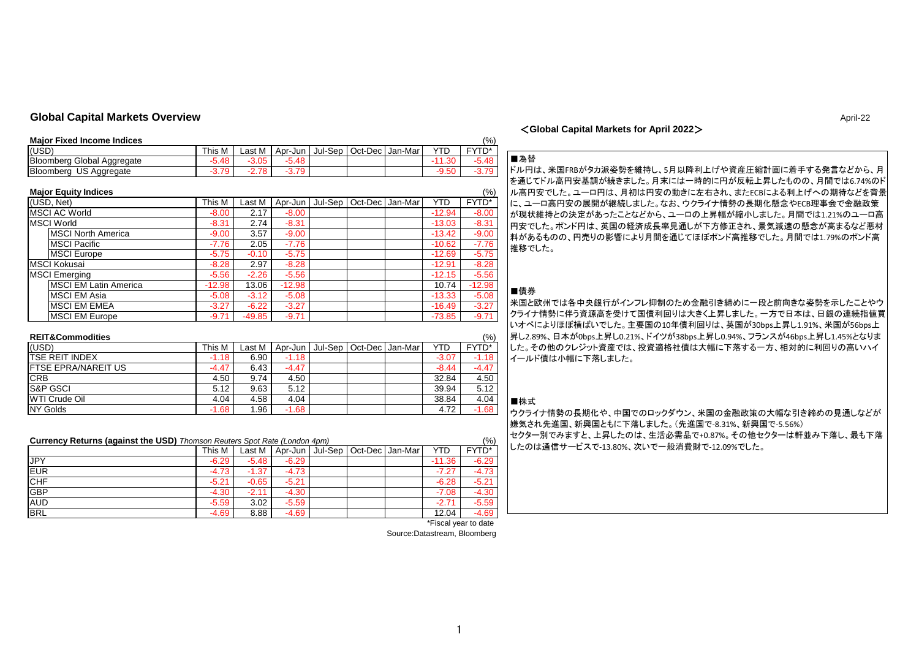# <**Global Capital Markets for April 2022**>

# **Global Capital Markets Overview** April-22

#### **Major Fixed Income Indices** (%)

| <b>MANITED STATES IN 1999</b>     |           |             |               |         |         |         |            | . 701        |
|-----------------------------------|-----------|-------------|---------------|---------|---------|---------|------------|--------------|
| (USD)                             | This<br>M | ∟ast M      | Apr-Jun       | Jul-Sep | Oct-Dec | Jan-Mar | $\sqrt{ }$ | -            |
| <b>Bloomberg Global Aggregate</b> | 5.48      | <b>3 UE</b> | <b>ٰ 48.ر</b> |         |         |         | ററ<br>u    | 5.48         |
| Bloomberg<br>US<br>Aggregate      |           | 220         | <b>70</b>     |         |         |         | −9.5⊾      | 70<br>`ວ.≀ ອ |

### **Major Equity Indices** (%)

| major cyany maroco   |                              |          |          |          |            |                 |            | ( ハリ     |
|----------------------|------------------------------|----------|----------|----------|------------|-----------------|------------|----------|
| (USD, Net)           |                              | This M   | Last M   | Apr-Jun  | $Jul$ -Sep | Oct-Dec Jan-Mar | <b>YTD</b> | FYTD*    |
| MSCI AC World        |                              | $-8.00$  | 2.17     | $-8.00$  |            |                 | $-12.94$   | $-8.00$  |
| <b>MSCI World</b>    |                              | $-8.31$  | 2.74     | $-8.31$  |            |                 | $-13.03$   | $-8.31$  |
|                      | <b>MSCI North America</b>    | $-9.00$  | 3.57     | $-9.00$  |            |                 | $-13.42$   | $-9.00$  |
| <b>MSCI Pacific</b>  |                              | $-7.76$  | 2.05     | $-7.76$  |            |                 | $-10.62$   | $-7.76$  |
| <b>MSCI</b> Europe   |                              | $-5.75$  | $-0.10$  | $-5.75$  |            |                 | $-12.69$   | $-5.75$  |
| <b>MSCI Kokusai</b>  |                              | $-8.28$  | 2.97     | $-8.28$  |            |                 | $-12.91$   | $-8.28$  |
| <b>MSCI</b> Emerging |                              | $-5.56$  | $-2.26$  | $-5.56$  |            |                 | $-12.15$   | $-5.56$  |
|                      | <b>MSCI EM Latin America</b> | $-12.98$ | 13.06    | $-12.98$ |            |                 | 10.74      | $-12.98$ |
| <b>MSCI EM Asia</b>  |                              | $-5.08$  | $-3.12$  | $-5.08$  |            |                 | $-13.33$   | $-5.08$  |
|                      | <b>MSCI EM EMEA</b>          | $-3.27$  | $-6.22$  | $-3.27$  |            |                 | $-16.49$   | $-3.27$  |
|                      | <b>MSCI EM Europe</b>        | $-9.71$  | $-49.85$ | $-9.71$  |            |                 | $-73.85$   | $-9.71$  |

## **REIT&Commodities** (%)

| (USD)                       | This M  | Last M | Apr-Jun I |  | Jul-Sep   Oct-Dec   Jan-Mar | YTD     | FYTD*   | した。その他のクレジット資産で |
|-----------------------------|---------|--------|-----------|--|-----------------------------|---------|---------|-----------------|
| <b>ITSE REIT INDEX</b>      | $-1.18$ | 6.90   | $-1.18$   |  |                             | $-3.07$ | $-1.18$ | イールド債は小幅に下落しまし; |
| <b>IFTSE EPRA/NAREIT US</b> | $-4.47$ | 6.43   | $-4.47$   |  |                             | $-8.44$ | $-4.47$ |                 |
| <b>CRB</b>                  | 4.50    | 9.74   | 4.50      |  |                             | 32.84   | 4.50    |                 |
| <b>S&amp;P GSCI</b>         | 5.12    | 9.63   | 5.12      |  |                             | 39.94   | 5.12    |                 |
| <b>WTI Crude Oil</b>        | 4.04    | 4.58   | 4.04      |  |                             | 38.84   | 4.04    | ■株式             |
| <b>NY Golds</b>             | $-1.68$ | .96    | $-1.68$   |  |                             | 4.72    | $-1.68$ | ウクライナ情勢の長期化や 中  |

| <b>Currency Returns (against the USD)</b> Thomson Reuters Spot Rate (London 4pm) |         |                    |         |  |  |                             |            |         |
|----------------------------------------------------------------------------------|---------|--------------------|---------|--|--|-----------------------------|------------|---------|
|                                                                                  | This M  | Last M $\parallel$ | Apr-Jun |  |  | Jul-Sep   Oct-Dec   Jan-Mar | <b>YTD</b> | FYTD*   |
| <b>JPY</b>                                                                       | $-6.29$ | $-5.48$            | $-6.29$ |  |  |                             | $-11.36$   | $-6.29$ |
| <b>EUR</b>                                                                       | $-4.73$ | $-1.37$            | $-4.73$ |  |  |                             | $-7.27$    | $-4.73$ |
| <b>CHF</b>                                                                       | $-5.21$ | $-0.65$            | $-5.21$ |  |  |                             | $-6.28$    | $-5.21$ |
| <b>GBP</b>                                                                       | $-4.30$ | $-2.11$            | $-4.30$ |  |  |                             | $-7.08$    | $-4.30$ |
| <b>AUD</b>                                                                       | $-5.59$ | 3.02               | $-5.59$ |  |  |                             | $-2.71$    | $-5.59$ |
| <b>BRL</b>                                                                       | $-4.69$ | 8.88               | $-4.69$ |  |  |                             | 12.04      | $-4.69$ |

## \*Fiscal year to date Source:Datastream, Bloomberg

## ■為替

ドル円は、米国FRBがタカ派姿勢を維持し、5月以降利上げや資産圧縮計画に着手する発言などから、月 を通じてドル高円安基調が続きました。月末には一時的に円が反転上昇したものの、月間では6.74%のド ル高円安でした。ユーロ円は、月初は円安の動きに左右され、またECBによる利上げへの期待などを背景 に、ユーロ高円安の展開が継続しました。なお、ウクライナ情勢の長期化懸念やECB理事会で金融政策 が現状維持との決定があったことなどから、ユーロの上昇幅が縮小しました。月間では1.21%のユーロ高 円安でした。ポンド円は、英国の経済成長率見通しが下方修正され、景気減速の懸念が高まるなど悪材 料があるものの、円売りの影響により月間を通じてほぼポンド高推移でした。月間では1.79%のポンド高 推移でした。

## ■債券

米国と欧州では各中央銀行がインフレ抑制のため金融引き締めに一段と前向きな姿勢を示したことやウ クライナ情勢に伴う資源高を受けて国債利回りは大きく上昇しました。一方で日本は、日銀の連続指値買 いオペによりほぼ横ばいでした。主要国の10年債利回りは、英国が30bps上昇し1.91%、米国が56bps上 昇し2.89%、日本が0bps上昇し0.21%、ドイツが38bps上昇し0.94%、フランスが46bps上昇し1.45%となりま した。その他のクレジット資産では、投資適格社債は大幅に下落する一方、相対的に利回りの高いハイ イールド債は小幅に下落しました。

#### ■株式

ウクライナ情勢の長期化や、中国でのロックダウン、米国の金融政策の大幅な引き締めの見通しなどが 嫌気され先進国、新興国ともに下落しました。(先進国で-8.31%、新興国で-5.56%) セクター別でみますと、上昇したのは、生活必需品で+0.87%。その他セクターは軒並み下落し、最も下落 したのは通信サービスで-13.80%、次いで一般消費財で-12.09%でした。